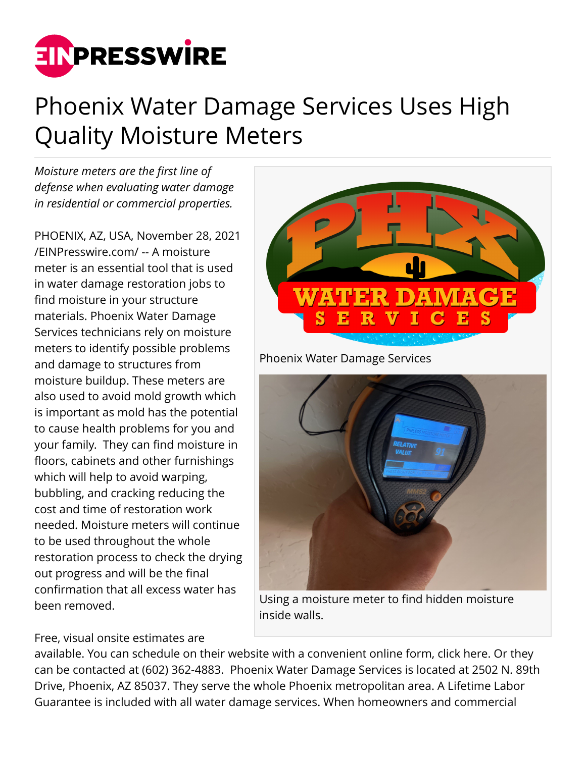

## Phoenix Water Damage Services Uses High Quality Moisture Meters

*Moisture meters are the first line of defense when evaluating water damage in residential or commercial properties.*

PHOENIX, AZ, USA, November 28, 2021 [/EINPresswire.com/](http://www.einpresswire.com) -- A moisture meter is an essential tool that is used in water damage restoration jobs to find moisture in your structure materials. Phoenix Water Damage Services technicians rely on moisture meters to identify possible problems and damage to structures from moisture buildup. These meters are also used to avoid mold growth which is important as mold has the potential to cause health problems for you and your family. They can find moisture in floors, cabinets and other furnishings which will help to avoid warping, bubbling, and cracking reducing the cost and time of restoration work needed. Moisture meters will continue to be used throughout the whole restoration process to check the drying out progress and will be the final confirmation that all excess water has been removed.



Phoenix Water Damage Services



Using a moisture meter to find hidden moisture inside walls.

Free, visual onsite estimates are

available. You can schedule on their website with a convenient online form, click here. Or they can be contacted at (602) 362-4883. Phoenix Water Damage Services is located at 2502 N. 89th Drive, Phoenix, AZ 85037. They serve the whole Phoenix metropolitan area. A Lifetime Labor Guarantee is included with all water damage services. When homeowners and commercial